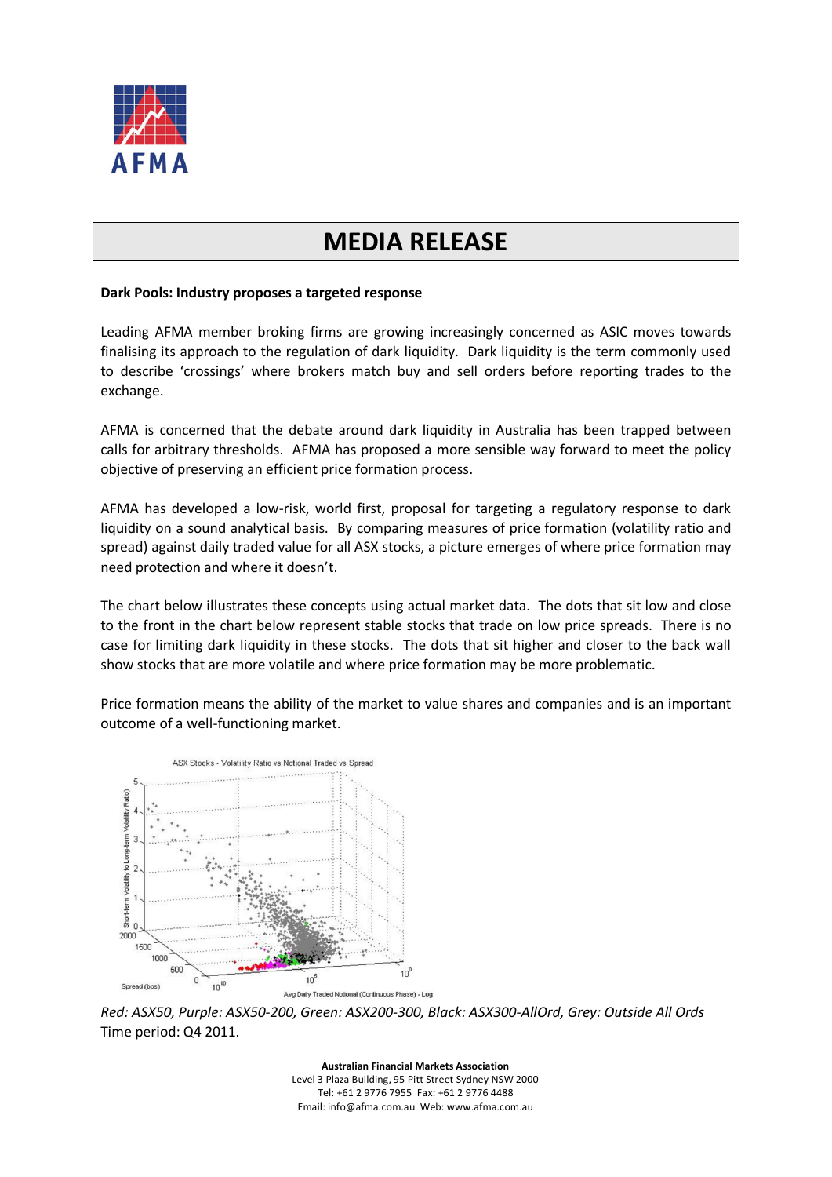

## **MEDIA RELEASE**

## **Dark Pools: Industry proposes a targeted response**

Leading AFMA member broking firms are growing increasingly concerned as ASIC moves towards finalising its approach to the regulation of dark liquidity. Dark liquidity is the term commonly used to describe 'crossings' where brokers match buy and sell orders before reporting trades to the exchange.

AFMA is concerned that the debate around dark liquidity in Australia has been trapped between calls for arbitrary thresholds. AFMA has proposed a more sensible way forward to meet the policy objective of preserving an efficient price formation process.

AFMA has developed a low-risk, world first, proposal for targeting a regulatory response to dark liquidity on a sound analytical basis. By comparing measures of price formation (volatility ratio and spread) against daily traded value for all ASX stocks, a picture emerges of where price formation may need protection and where it doesn't.

The chart below illustrates these concepts using actual market data. The dots that sit low and close to the front in the chart below represent stable stocks that trade on low price spreads. There is no case for limiting dark liquidity in these stocks. The dots that sit higher and closer to the back wall show stocks that are more volatile and where price formation may be more problematic.

Price formation means the ability of the market to value shares and companies and is an important outcome of a well-functioning market.



*Red: ASX50, Purple: ASX50-200, Green: ASX200-300, Black: ASX300-AllOrd, Grey: Outside All Ords* Time period: Q4 2011.

**Australian Financial Markets Association** Level 3 Plaza Building, 95 Pitt Street Sydney NSW 2000 Tel: +61 2 9776 7955 Fax: +61 2 9776 4488 Email: info@afma.com.au Web: www.afma.com.au